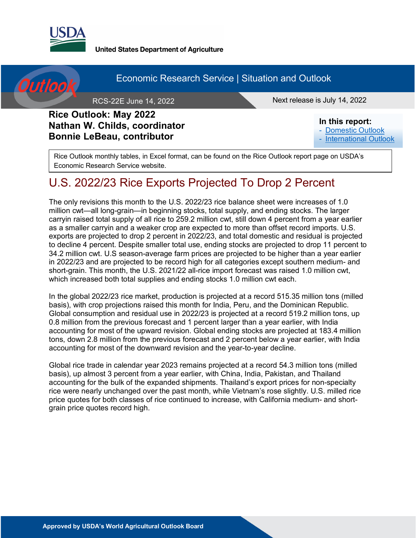

**United States Department of Agriculture** 



#### Economic Research Service | Situation and Outlook

RCS-22E June 14, 2022 **Next release is July 14, 2022** 

#### **Rice Outlook: May 2022 Nathan W. Childs, coordinator Bonnie LeBeau, contributor**

**In this report:** - [Domestic Outlook](#page-4-0)

- [International Outlook](#page-9-0)

Rice Outlook monthly tables, in Excel format, can be found on the Rice Outlook report page on USDA's Economic Research Service website.

## U.S. 2022/23 Rice Exports Projected To Drop 2 Percent

The only revisions this month to the U.S. 2022/23 rice balance sheet were increases of 1.0 million cwt—all long-grain—in beginning stocks, total supply, and ending stocks. The larger carryin raised total supply of all rice to 259.2 million cwt, still down 4 percent from a year earlier as a smaller carryin and a weaker crop are expected to more than offset record imports. U.S. exports are projected to drop 2 percent in 2022/23, and total domestic and residual is projected to decline 4 percent. Despite smaller total use, ending stocks are projected to drop 11 percent to 34.2 million cwt. U.S season-average farm prices are projected to be higher than a year earlier in 2022/23 and are projected to be record high for all categories except southern medium- and short-grain. This month, the U.S. 2021/22 all-rice import forecast was raised 1.0 million cwt, which increased both total supplies and ending stocks 1.0 million cwt each.

In the global 2022/23 rice market, production is projected at a record 515.35 million tons (milled basis), with crop projections raised this month for India, Peru, and the Dominican Republic. Global consumption and residual use in 2022/23 is projected at a record 519.2 million tons, up 0.8 million from the previous forecast and 1 percent larger than a year earlier, with India accounting for most of the upward revision. Global ending stocks are projected at 183.4 million tons, down 2.8 million from the previous forecast and 2 percent below a year earlier, with India accounting for most of the downward revision and the year-to-year decline.

Global rice trade in calendar year 2023 remains projected at a record 54.3 million tons (milled basis), up almost 3 percent from a year earlier, with China, India, Pakistan, and Thailand accounting for the bulk of the expanded shipments. Thailand's export prices for non-specialty rice were nearly unchanged over the past month, while Vietnam's rose slightly. U.S. milled rice price quotes for both classes of rice continued to increase, with California medium- and shortgrain price quotes record high.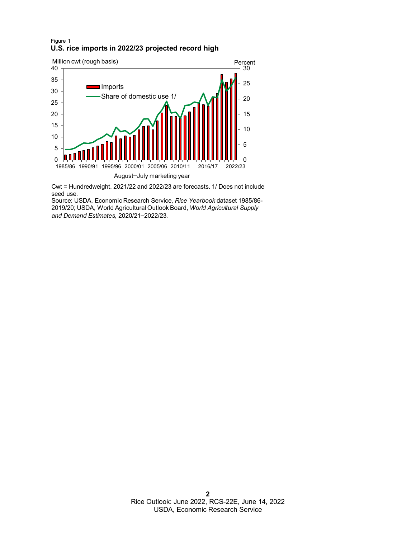#### Figure 1 **U.S. rice imports in 2022/23 projected record high**



Cwt = Hundredweight. 2021/22 and 2022/23 are forecasts. 1/ Does not include seed use.

Source: USDA, Economic Research Service, *Rice Yearbook* dataset 1985/86- 2019/20; USDA, World Agricultural Outlook Board, *World Agricultural Supply and Demand Estimates,* 2020/21–2022/23*.*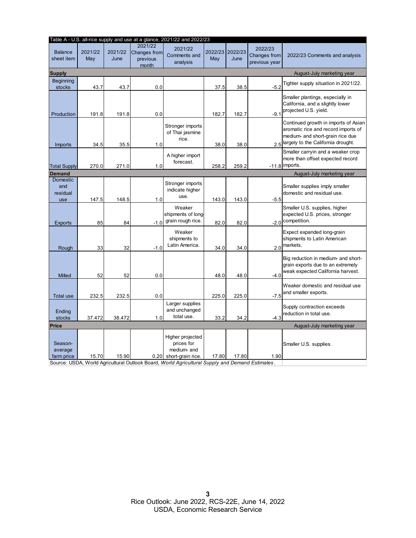| Table A - U.S. all-rice supply and use at a glance, 2021/22 and 2022/23 |                |                 |                                              |                                                                                                                                                                             |                |                 |                                                 |                                                                                                                                                          |  |  |
|-------------------------------------------------------------------------|----------------|-----------------|----------------------------------------------|-----------------------------------------------------------------------------------------------------------------------------------------------------------------------------|----------------|-----------------|-------------------------------------------------|----------------------------------------------------------------------------------------------------------------------------------------------------------|--|--|
| <b>Balance</b><br>sheet item                                            | 2021/22<br>May | 2021/22<br>June | 2021/22<br>Changes from<br>previous<br>month | 2021/22<br>Comments and<br>analysis                                                                                                                                         | 2022/23<br>May | 2022/23<br>June | 2022/23<br><b>Changes from</b><br>previous year | 2022/23 Comments and analysis                                                                                                                            |  |  |
| <b>Supply</b>                                                           |                |                 |                                              |                                                                                                                                                                             |                |                 |                                                 | August-July marketing year                                                                                                                               |  |  |
| <b>Beginning</b><br>stocks                                              | 43.7           | 43.7            | 0.0                                          |                                                                                                                                                                             | 37.5           | 38.5            | $-5.2$                                          | Tighter supply situation in 2021/22.                                                                                                                     |  |  |
| Production                                                              | 191.8          | 191.8           | 0.0                                          |                                                                                                                                                                             | 182.7          | 182.7           | $-9.1$                                          | Smaller plantings, especially in<br>California, and a slightly lower<br>projected U.S. yield.                                                            |  |  |
| Imports                                                                 | 34.5           | 35.5            | 1.0                                          | Stronger imports<br>of Thai jasmine<br>rice.                                                                                                                                | 38.0           | 38.0            |                                                 | Continued growth in imports of Asian<br>aromatic rice and record imports of<br>medium- and short-grain rice due<br>2.5 argely to the California drought. |  |  |
| <b>Total Supply</b>                                                     | 270.0          | 271.0           | 1.0                                          | A higher import<br>forecast.                                                                                                                                                | 258.2          | 259.2           |                                                 | Smaller carryin and a weaker crop<br>more than offset expected record<br>$-11.8$ imports.                                                                |  |  |
| <b>Demand</b>                                                           |                |                 |                                              |                                                                                                                                                                             |                |                 |                                                 | August-July marketing year                                                                                                                               |  |  |
| <b>Domestic</b><br>and<br>residual<br>use                               | 147.5          | 148.5           | 1.0                                          | Stronger imports<br>indicate higher<br>use.                                                                                                                                 | 143.0          | 143.0           | $-5.5$                                          | Smaller supplies imply smaller<br>domestic and residual use.                                                                                             |  |  |
| <b>Exports</b>                                                          | 85             | 84              | $-1.0$                                       | Weaker<br>shipments of long-<br>grain rough rice.                                                                                                                           | 82.0           | 82.0            |                                                 | Smaller U.S. supplies, higher<br>expected U.S. prices, stronger<br>-2.0 competition.                                                                     |  |  |
| Rough                                                                   | 33             | 32              | $-1.0$                                       | Weaker<br>shipments to<br>Latin America.                                                                                                                                    | 34.0           | 34.0            | 2.0                                             | Expect expanded long-grain<br>shipments to Latin American<br>markets.                                                                                    |  |  |
| Milled                                                                  | 52             | 52              | 0.0                                          |                                                                                                                                                                             | 48.0           | 48.0            | $-4.0$                                          | Big reduction in medium- and short-<br>grain exports due to an extremely<br>weak expected California harvest.                                            |  |  |
| <b>Total use</b>                                                        | 232.5          | 232.5           | 0.0                                          |                                                                                                                                                                             | 225.0          | 225.0           | $-7.5$                                          | Weaker domestic and residual use<br>and smaller exports.                                                                                                 |  |  |
| Ending<br>stocks                                                        | 37.472         | 38.472          | 1.0                                          | Larger supplies<br>and unchanged<br>total use.                                                                                                                              | 33.2           | 34.2            | $-4.3$                                          | Supply contraction exceeds<br>reduction in total use.                                                                                                    |  |  |
| <b>Price</b>                                                            |                |                 |                                              |                                                                                                                                                                             |                |                 |                                                 | August-July marketing year                                                                                                                               |  |  |
| Season-<br>average<br>farm price                                        | 15.70          | 15.90           |                                              | Higher projected<br>prices for<br>medium- and<br>$0.20$ short-grain rice.<br>Source: USDA, World Agricultural Qutlook Board, World Agricultural Supply and Demand Estimates | 17.80          | 17.80           | 1.90                                            | Smaller U.S. supplies.                                                                                                                                   |  |  |

Source: USDA, World Agricultural Outlook Board, *World Agricultural Supply and Demand Estimates* .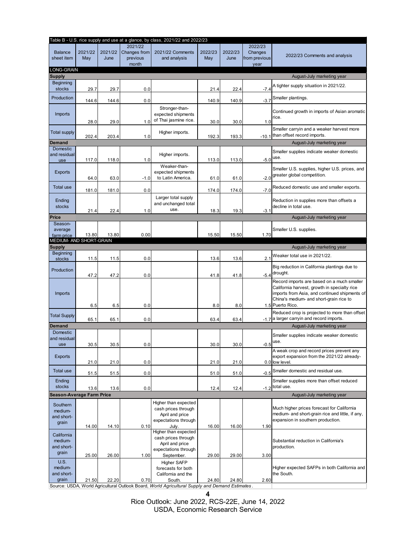|                            |         |         |                          | Table B - U.S. rice supply and use at a glance, by class, 2021/22 and 2022/23                             |         |         |                       |                                                                                                |
|----------------------------|---------|---------|--------------------------|-----------------------------------------------------------------------------------------------------------|---------|---------|-----------------------|------------------------------------------------------------------------------------------------|
|                            |         |         | 2021/22                  |                                                                                                           |         |         | 2022/23               |                                                                                                |
| <b>Balance</b>             | 2021/22 | 2021/22 | Changes from<br>previous | 2021/22 Comments                                                                                          | 2022/23 | 2022/23 | Changes               | 2022/23 Comments and analysis                                                                  |
| sheet item                 | May     | June    | month                    | and analysis                                                                                              | May     | June    | from previous<br>year |                                                                                                |
| LONG-GRAIN                 |         |         |                          |                                                                                                           |         |         |                       |                                                                                                |
| <b>Supply</b>              |         |         |                          |                                                                                                           |         |         |                       | August-July marketing year                                                                     |
| Beginning                  |         |         |                          |                                                                                                           |         |         |                       | A tighter supply situation in 2021/22.                                                         |
| stocks                     | 29.7    | 29.7    | 0.0                      |                                                                                                           | 21.4    | 22.4    | $-7.4$                |                                                                                                |
| Production                 | 144.6   | 144.6   | 0.0                      |                                                                                                           | 140.9   | 140.9   | $-3.7$                | Smaller plantings.                                                                             |
|                            |         |         |                          | Stronger-than-                                                                                            |         |         |                       |                                                                                                |
| Imports                    |         |         |                          | expected shipments                                                                                        |         |         |                       | Continued growth in imports of Asian aromatic                                                  |
|                            | 28.0    | 29.0    | 1.0                      | of Thai jasmine rice.                                                                                     | 30.0    | 30.0    | 1.0                   | rice.                                                                                          |
|                            |         |         |                          |                                                                                                           |         |         |                       | Smaller carryin and a weaker harvest more                                                      |
| <b>Total supply</b>        | 202.4   | 203.4   | 1.0                      | Higher imports.                                                                                           | 192.3   | 193.3   | $-10.1$               | than offset record imports.                                                                    |
| Demand                     |         |         |                          |                                                                                                           |         |         |                       | August-July marketing year                                                                     |
| <b>Domestic</b>            |         |         |                          |                                                                                                           |         |         |                       | Smaller supplies indicate weaker domestic                                                      |
| and residual               |         |         |                          | Higher imports.                                                                                           |         |         |                       | use.                                                                                           |
| use                        | 117.0   | 118.0   | 1.0                      | Weaker-than-                                                                                              | 113.0   | 113.0   | $-5.0$                |                                                                                                |
| <b>Exports</b>             |         |         |                          | expected shipments                                                                                        |         |         |                       | Smaller U.S. supplies, higher U.S. prices, and                                                 |
|                            | 64.0    | 63.0    | $-1.0$                   | to Latin America.                                                                                         | 61.0    | 61.0    | $-2.0$                | greater global competition.                                                                    |
| <b>Total use</b>           |         |         |                          |                                                                                                           |         |         |                       | Reduced domestic use and smaller exports.                                                      |
|                            | 181.0   | 181.0   | 0.0                      |                                                                                                           | 174.0   | 174.0   | $-7.0$                |                                                                                                |
| Ending                     |         |         |                          | Larger total supply                                                                                       |         |         |                       | Reduction in supplies more than offsets a                                                      |
| stocks                     |         |         |                          | and unchanged total                                                                                       |         |         |                       | decline in total use.                                                                          |
|                            | 21.4    | 22.4    | 1.0                      | use.                                                                                                      | 18.3    | 19.3    | $-3.1$                |                                                                                                |
| Price<br>Season-           |         |         |                          |                                                                                                           |         |         |                       | August-July marketing year                                                                     |
| average                    |         |         |                          |                                                                                                           |         |         |                       | Smaller U.S. supplies.                                                                         |
| farm price                 | 13.80   | 13.80   | 0.00                     |                                                                                                           | 15.50   | 15.50   | 1.70                  |                                                                                                |
| MEDIUM- AND SHORT-GRAIN    |         |         |                          |                                                                                                           |         |         |                       |                                                                                                |
| <b>Supply</b><br>Beginning |         |         |                          |                                                                                                           |         |         |                       | August-July marketing year                                                                     |
| stocks                     | 11.5    | 11.5    | 0.0                      |                                                                                                           | 13.6    | 13.6    | 2.1                   | Weaker total use in 2021/22.                                                                   |
|                            |         |         |                          |                                                                                                           |         |         |                       | Big reduction in California plantings due to                                                   |
| Production                 |         | 47.2    | 0.0                      |                                                                                                           | 41.8    |         | $-5.4$                | drought.                                                                                       |
|                            | 47.2    |         |                          |                                                                                                           |         | 41.8    |                       | Record imports are based on a much smaller                                                     |
|                            |         |         |                          |                                                                                                           |         |         |                       | California harvest, growth in specialty rice                                                   |
| Imports                    |         |         |                          |                                                                                                           |         |         |                       | imports from Asia, and continued shipments of                                                  |
|                            |         |         |                          |                                                                                                           |         |         |                       | China's medium- and short-grain rice to                                                        |
|                            | 6.5     | 6.5     | 0.0                      |                                                                                                           | 8.0     | 8.0     |                       | 1.5 Puerto Rico.                                                                               |
| <b>Total Supply</b>        |         |         |                          |                                                                                                           |         |         |                       | Reduced crop is projected to more than offset<br>-1.7 a larger carryin and record imports.     |
| <b>Demand</b>              | 65.1    | 65.1    | 0.0                      |                                                                                                           | 63.4    | 63.4    |                       | August-July marketing year                                                                     |
| Domestic                   |         |         |                          |                                                                                                           |         |         |                       |                                                                                                |
| and residual               |         |         |                          |                                                                                                           |         |         |                       | Smaller supplies indicate weaker domestic                                                      |
| use                        | 30.5    | 30.5    | 0.0                      |                                                                                                           | 30.0    | 30.0    | $-0.5$                | use.                                                                                           |
|                            |         |         |                          |                                                                                                           |         |         |                       | A weak crop and record prices prevent any                                                      |
| <b>Exports</b>             | 21.0    | 21.0    | 0.0                      |                                                                                                           | 21.0    | 21.0    |                       | export expansion from the 2021/22 already-<br>0.0 low level.                                   |
|                            |         |         |                          |                                                                                                           |         |         |                       |                                                                                                |
| <b>Total use</b>           | 51.5    | 51.5    | 0.0                      |                                                                                                           | 51.0    | 51.0    | $-0.5$                | Smaller domestic and residual use.                                                             |
| Ending                     |         |         |                          |                                                                                                           |         |         |                       | Smaller supplies more than offset reduced                                                      |
| stocks                     | 13.6    | 13.6    | 0.0                      |                                                                                                           | 12.4    | 12.4    | $-1.2$                | total use.                                                                                     |
| Season-Average Farm Price  |         |         |                          |                                                                                                           |         |         |                       | August-July marketing year                                                                     |
| Southern                   |         |         |                          | Higher than expected                                                                                      |         |         |                       |                                                                                                |
| medium-                    |         |         |                          | cash prices through                                                                                       |         |         |                       | Much higher prices forecast for California<br>medium- and short-grain rice and little, if any, |
| and short-                 |         |         |                          | April and price<br>expectations through                                                                   |         |         |                       | expansion in southern production.                                                              |
| grain                      | 14.00   | 14.10   | 0.10                     | July.                                                                                                     | 16.00   | 16.00   | 1.90                  |                                                                                                |
| California                 |         |         |                          | Higher than expected                                                                                      |         |         |                       |                                                                                                |
| medium-                    |         |         |                          | cash prices through                                                                                       |         |         |                       | Substantial reduction in California's                                                          |
| and short-                 |         |         |                          | April and price<br>expectations through                                                                   |         |         |                       | production.                                                                                    |
| grain                      | 25.00   | 26.00   | 1.00                     | September.                                                                                                | 29.00   | 29.00   | 3.00                  |                                                                                                |
| U.S.                       |         |         |                          | <b>Higher SAFP</b>                                                                                        |         |         |                       |                                                                                                |
| medium-                    |         |         |                          | forecasts for both                                                                                        |         |         |                       | Higher expected SAFPs in both California and                                                   |
| and short-                 |         |         |                          | California and the                                                                                        |         |         |                       | the South.                                                                                     |
| grain                      | 21.50   | 22.20   | 0.70                     | South.<br>Source: USDA, World Agricultural Outlook Board, World Agricultural Supply and Demand Estimates. | 24.80   | 24.80   | 2.60                  |                                                                                                |
|                            |         |         |                          |                                                                                                           |         |         |                       |                                                                                                |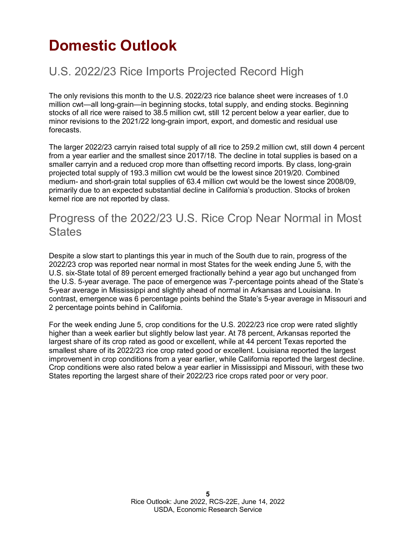# <span id="page-4-0"></span>**Domestic Outlook**

## U.S. 2022/23 Rice Imports Projected Record High

The only revisions this month to the U.S. 2022/23 rice balance sheet were increases of 1.0 million cwt—all long-grain—in beginning stocks, total supply, and ending stocks. Beginning stocks of all rice were raised to 38.5 million cwt, still 12 percent below a year earlier, due to minor revisions to the 2021/22 long-grain import, export, and domestic and residual use forecasts.

The larger 2022/23 carryin raised total supply of all rice to 259.2 million cwt, still down 4 percent from a year earlier and the smallest since 2017/18. The decline in total supplies is based on a smaller carryin and a reduced crop more than offsetting record imports. By class, long-grain projected total supply of 193.3 million cwt would be the lowest since 2019/20. Combined medium- and short-grain total supplies of 63.4 million cwt would be the lowest since 2008/09, primarily due to an expected substantial decline in California's production. Stocks of broken kernel rice are not reported by class.

#### Progress of the 2022/23 U.S. Rice Crop Near Normal in Most **States**

Despite a slow start to plantings this year in much of the South due to rain, progress of the 2022/23 crop was reported near normal in most States for the week ending June 5, with the U.S. six-State total of 89 percent emerged fractionally behind a year ago but unchanged from the U.S. 5-year average. The pace of emergence was 7-percentage points ahead of the State's 5-year average in Mississippi and slightly ahead of normal in Arkansas and Louisiana. In contrast, emergence was 6 percentage points behind the State's 5-year average in Missouri and 2 percentage points behind in California.

For the week ending June 5, crop conditions for the U.S. 2022/23 rice crop were rated slightly higher than a week earlier but slightly below last year. At 78 percent, Arkansas reported the largest share of its crop rated as good or excellent, while at 44 percent Texas reported the smallest share of its 2022/23 rice crop rated good or excellent. Louisiana reported the largest improvement in crop conditions from a year earlier, while California reported the largest decline. Crop conditions were also rated below a year earlier in Mississippi and Missouri, with these two States reporting the largest share of their 2022/23 rice crops rated poor or very poor.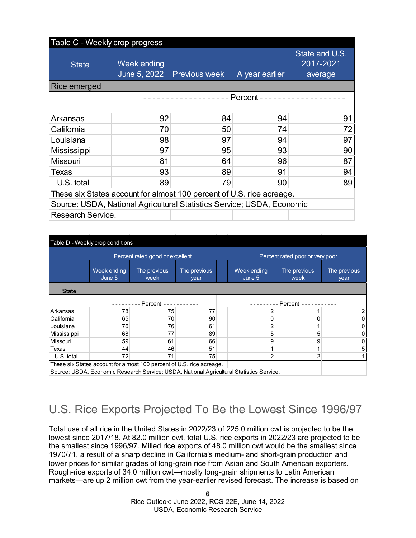### Table C - Weekly crop progress State Week ending June 5, 2022 Previous week A year earlier

|                                                                        |    | June 5, 2022 Previous week | A year earlier | average |  |  |  |  |
|------------------------------------------------------------------------|----|----------------------------|----------------|---------|--|--|--|--|
| <b>Rice emerged</b>                                                    |    |                            |                |         |  |  |  |  |
|                                                                        |    |                            | - - Percent -  |         |  |  |  |  |
|                                                                        |    |                            |                |         |  |  |  |  |
| <b>Arkansas</b>                                                        | 92 | 84                         | 94             | 91      |  |  |  |  |
| California                                                             | 70 | 50                         | 74             | 72      |  |  |  |  |
| Louisiana                                                              | 98 | 97                         | 94             | 97      |  |  |  |  |
| Mississippi                                                            | 97 | 95                         | 93             | 90      |  |  |  |  |
| <b>Missouri</b>                                                        | 81 | 64                         | 96             | 87      |  |  |  |  |
| <b>Texas</b>                                                           | 93 | 89                         | 91             | 94      |  |  |  |  |
| U.S. total                                                             | 89 | 79                         | 90             | 89      |  |  |  |  |
| These six States account for almost 100 percent of U.S. rice acreage.  |    |                            |                |         |  |  |  |  |
| Source: USDA, National Agricultural Statistics Service; USDA, Economic |    |                            |                |         |  |  |  |  |
| Research Service.                                                      |    |                            |                |         |  |  |  |  |

State and U.S. 2017-2021

| Table D - Weekly crop conditions                                                         |                                                                       |                                 |    |  |                                 |                      |                      |  |  |
|------------------------------------------------------------------------------------------|-----------------------------------------------------------------------|---------------------------------|----|--|---------------------------------|----------------------|----------------------|--|--|
|                                                                                          |                                                                       | Percent rated good or excellent |    |  | Percent rated poor or very poor |                      |                      |  |  |
|                                                                                          | Week ending<br>The previous<br>The previous<br>June 5<br>week<br>year |                                 |    |  | Week ending<br>June 5           | The previous<br>week | The previous<br>year |  |  |
| <b>State</b>                                                                             |                                                                       |                                 |    |  |                                 |                      |                      |  |  |
| Percent -<br>Percent -                                                                   |                                                                       |                                 |    |  |                                 |                      |                      |  |  |
| Arkansas                                                                                 | 78                                                                    | 75                              | 77 |  | 2                               |                      |                      |  |  |
| California                                                                               | 65                                                                    | 70                              | 90 |  | 0                               |                      |                      |  |  |
| Louisiana                                                                                | 76                                                                    | 76                              | 61 |  | $\overline{2}$                  |                      |                      |  |  |
| Mississippi                                                                              | 68                                                                    | 77                              | 89 |  | 5                               | 5                    |                      |  |  |
| Missouri                                                                                 | 59                                                                    | 61                              | 66 |  | 9                               | 9                    |                      |  |  |
| Texas                                                                                    | 44                                                                    | 46                              | 51 |  |                                 |                      | 5                    |  |  |
| U.S. total                                                                               | 72                                                                    | 71                              | 75 |  | 2                               |                      |                      |  |  |
| These six States account for almost 100 percent of U.S. rice acreage.                    |                                                                       |                                 |    |  |                                 |                      |                      |  |  |
| Source: USDA, Economic Research Service; USDA, National Agricultural Statistics Service. |                                                                       |                                 |    |  |                                 |                      |                      |  |  |

## U.S. Rice Exports Projected To Be the Lowest Since 1996/97

Total use of all rice in the United States in 2022/23 of 225.0 million cwt is projected to be the lowest since 2017/18. At 82.0 million cwt, total U.S. rice exports in 2022/23 are projected to be the smallest since 1996/97. Milled rice exports of 48.0 million cwt would be the smallest since 1970/71, a result of a sharp decline in California's medium- and short-grain production and lower prices for similar grades of long-grain rice from Asian and South American exporters. Rough-rice exports of 34.0 million cwt—mostly long-grain shipments to Latin American markets—are up 2 million cwt from the year-earlier revised forecast. The increase is based on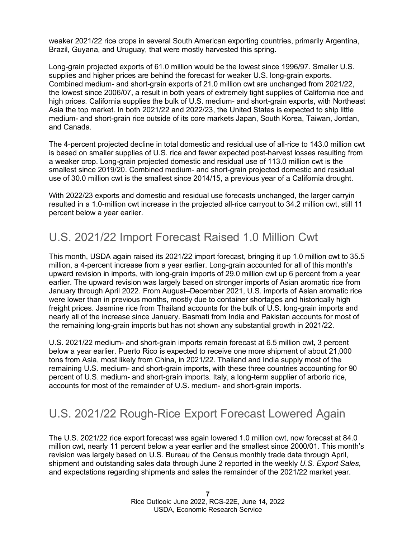weaker 2021/22 rice crops in several South American exporting countries, primarily Argentina, Brazil, Guyana, and Uruguay, that were mostly harvested this spring.

Long-grain projected exports of 61.0 million would be the lowest since 1996/97. Smaller U.S. supplies and higher prices are behind the forecast for weaker U.S. long-grain exports. Combined medium- and short-grain exports of 21.0 million cwt are unchanged from 2021/22, the lowest since 2006/07, a result in both years of extremely tight supplies of California rice and high prices. California supplies the bulk of U.S. medium- and short-grain exports, with Northeast Asia the top market. In both 2021/22 and 2022/23, the United States is expected to ship little medium- and short-grain rice outside of its core markets Japan, South Korea, Taiwan, Jordan, and Canada.

The 4-percent projected decline in total domestic and residual use of all-rice to 143.0 million cwt is based on smaller supplies of U.S. rice and fewer expected post-harvest losses resulting from a weaker crop. Long-grain projected domestic and residual use of 113.0 million cwt is the smallest since 2019/20. Combined medium- and short-grain projected domestic and residual use of 30.0 million cwt is the smallest since 2014/15, a previous year of a California drought.

With 2022/23 exports and domestic and residual use forecasts unchanged, the larger carryin resulted in a 1.0-million cwt increase in the projected all-rice carryout to 34.2 million cwt, still 11 percent below a year earlier.

#### U.S. 2021/22 Import Forecast Raised 1.0 Million Cwt

This month, USDA again raised its 2021/22 import forecast, bringing it up 1.0 million cwt to 35.5 million, a 4-percent increase from a year earlier. Long-grain accounted for all of this month's upward revision in imports, with long-grain imports of 29.0 million cwt up 6 percent from a year earlier. The upward revision was largely based on stronger imports of Asian aromatic rice from January through April 2022. From August–December 2021, U.S. imports of Asian aromatic rice were lower than in previous months, mostly due to container shortages and historically high freight prices. Jasmine rice from Thailand accounts for the bulk of U.S. long-grain imports and nearly all of the increase since January. Basmati from India and Pakistan accounts for most of the remaining long-grain imports but has not shown any substantial growth in 2021/22.

U.S. 2021/22 medium- and short-grain imports remain forecast at 6.5 million cwt, 3 percent below a year earlier. Puerto Rico is expected to receive one more shipment of about 21,000 tons from Asia, most likely from China, in 2021/22. Thailand and India supply most of the remaining U.S. medium- and short-grain imports, with these three countries accounting for 90 percent of U.S. medium- and short-grain imports. Italy, a long-term supplier of arborio rice, accounts for most of the remainder of U.S. medium- and short-grain imports.

#### U.S. 2021/22 Rough-Rice Export Forecast Lowered Again

The U.S. 2021/22 rice export forecast was again lowered 1.0 million cwt, now forecast at 84.0 million cwt, nearly 11 percent below a year earlier and the smallest since 2000/01. This month's revision was largely based on U.S. Bureau of the Census monthly trade data through April, shipment and outstanding sales data through June 2 reported in the weekly *U.S. Export Sales*, and expectations regarding shipments and sales the remainder of the 2021/22 market year.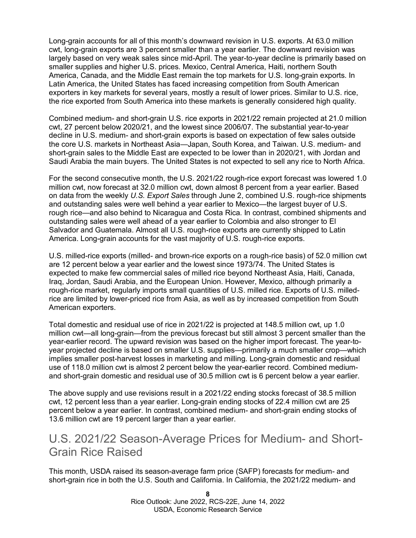Long-grain accounts for all of this month's downward revision in U.S. exports. At 63.0 million cwt, long-grain exports are 3 percent smaller than a year earlier. The downward revision was largely based on very weak sales since mid-April. The year-to-year decline is primarily based on smaller supplies and higher U.S. prices. Mexico, Central America, Haiti, northern South America, Canada, and the Middle East remain the top markets for U.S. long-grain exports. In Latin America, the United States has faced increasing competition from South American exporters in key markets for several years, mostly a result of lower prices. Similar to U.S. rice, the rice exported from South America into these markets is generally considered high quality.

Combined medium- and short-grain U.S. rice exports in 2021/22 remain projected at 21.0 million cwt, 27 percent below 2020/21, and the lowest since 2006/07. The substantial year-to-year decline in U.S. medium- and short-grain exports is based on expectation of few sales outside the core U.S. markets in Northeast Asia—Japan, South Korea, and Taiwan. U.S. medium- and short-grain sales to the Middle East are expected to be lower than in 2020/21, with Jordan and Saudi Arabia the main buyers. The United States is not expected to sell any rice to North Africa.

For the second consecutive month, the U.S. 2021/22 rough-rice export forecast was lowered 1.0 million cwt, now forecast at 32.0 million cwt, down almost 8 percent from a year earlier. Based on data from the weekly *U.S. Export Sales* through June 2, combined U.S. rough-rice shipments and outstanding sales were well behind a year earlier to Mexico—the largest buyer of U.S. rough rice—and also behind to Nicaragua and Costa Rica. In contrast, combined shipments and outstanding sales were well ahead of a year earlier to Colombia and also stronger to El Salvador and Guatemala. Almost all U.S. rough-rice exports are currently shipped to Latin America. Long-grain accounts for the vast majority of U.S. rough-rice exports.

U.S. milled-rice exports (milled- and brown-rice exports on a rough-rice basis) of 52.0 million cwt are 12 percent below a year earlier and the lowest since 1973/74. The United States is expected to make few commercial sales of milled rice beyond Northeast Asia, Haiti, Canada, Iraq, Jordan, Saudi Arabia, and the European Union. However, Mexico, although primarily a rough-rice market, regularly imports small quantities of U.S. milled rice. Exports of U.S. milledrice are limited by lower-priced rice from Asia, as well as by increased competition from South American exporters.

Total domestic and residual use of rice in 2021/22 is projected at 148.5 million cwt, up 1.0 million cwt—all long-grain—from the previous forecast but still almost 3 percent smaller than the year-earlier record. The upward revision was based on the higher import forecast. The year-toyear projected decline is based on smaller U.S. supplies—primarily a much smaller crop—which implies smaller post-harvest losses in marketing and milling. Long-grain domestic and residual use of 118.0 million cwt is almost 2 percent below the year-earlier record. Combined mediumand short-grain domestic and residual use of 30.5 million cwt is 6 percent below a year earlier.

The above supply and use revisions result in a 2021/22 ending stocks forecast of 38.5 million cwt, 12 percent less than a year earlier. Long-grain ending stocks of 22.4 million cwt are 25 percent below a year earlier. In contrast, combined medium- and short-grain ending stocks of 13.6 million cwt are 19 percent larger than a year earlier.

#### U.S. 2021/22 Season-Average Prices for Medium- and Short-Grain Rice Raised

This month, USDA raised its season-average farm price (SAFP) forecasts for medium- and short-grain rice in both the U.S. South and California. In California, the 2021/22 medium- and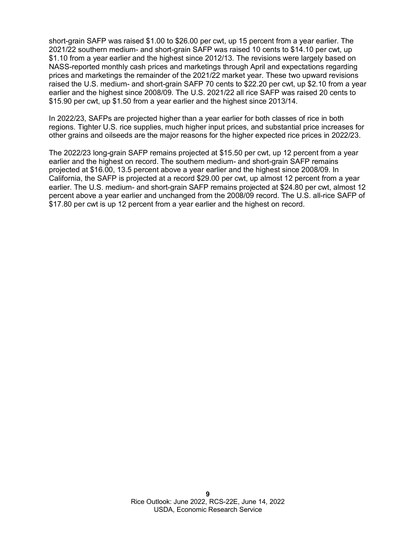short-grain SAFP was raised \$1.00 to \$26.00 per cwt, up 15 percent from a year earlier. The 2021/22 southern medium- and short-grain SAFP was raised 10 cents to \$14.10 per cwt, up \$1.10 from a year earlier and the highest since 2012/13. The revisions were largely based on NASS-reported monthly cash prices and marketings through April and expectations regarding prices and marketings the remainder of the 2021/22 market year. These two upward revisions raised the U.S. medium- and short-grain SAFP 70 cents to \$22.20 per cwt, up \$2.10 from a year earlier and the highest since 2008/09. The U.S. 2021/22 all rice SAFP was raised 20 cents to \$15.90 per cwt, up \$1.50 from a year earlier and the highest since 2013/14.

In 2022/23, SAFPs are projected higher than a year earlier for both classes of rice in both regions. Tighter U.S. rice supplies, much higher input prices, and substantial price increases for other grains and oilseeds are the major reasons for the higher expected rice prices in 2022/23.

The 2022/23 long-grain SAFP remains projected at \$15.50 per cwt, up 12 percent from a year earlier and the highest on record. The southern medium- and short-grain SAFP remains projected at \$16.00, 13.5 percent above a year earlier and the highest since 2008/09. In California, the SAFP is projected at a record \$29.00 per cwt, up almost 12 percent from a year earlier. The U.S. medium- and short-grain SAFP remains projected at \$24.80 per cwt, almost 12 percent above a year earlier and unchanged from the 2008/09 record. The U.S. all-rice SAFP of \$17.80 per cwt is up 12 percent from a year earlier and the highest on record.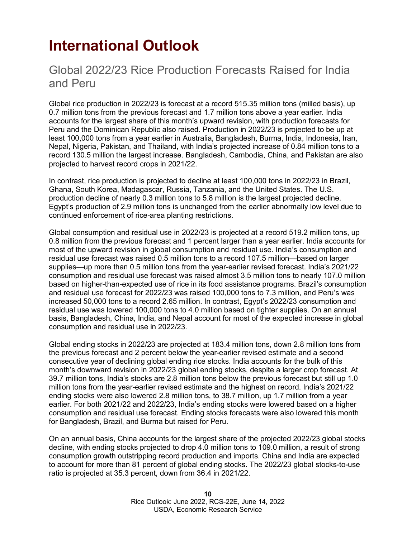# <span id="page-9-0"></span>**International Outlook**

#### Global 2022/23 Rice Production Forecasts Raised for India and Peru

Global rice production in 2022/23 is forecast at a record 515.35 million tons (milled basis), up 0.7 million tons from the previous forecast and 1.7 million tons above a year earlier. India accounts for the largest share of this month's upward revision, with production forecasts for Peru and the Dominican Republic also raised. Production in 2022/23 is projected to be up at least 100,000 tons from a year earlier in Australia, Bangladesh, Burma, India, Indonesia, Iran, Nepal, Nigeria, Pakistan, and Thailand, with India's projected increase of 0.84 million tons to a record 130.5 million the largest increase. Bangladesh, Cambodia, China, and Pakistan are also projected to harvest record crops in 2021/22.

In contrast, rice production is projected to decline at least 100,000 tons in 2022/23 in Brazil, Ghana, South Korea, Madagascar, Russia, Tanzania, and the United States. The U.S. production decline of nearly 0.3 million tons to 5.8 million is the largest projected decline. Egypt's production of 2.9 million tons is unchanged from the earlier abnormally low level due to continued enforcement of rice-area planting restrictions.

Global consumption and residual use in 2022/23 is projected at a record 519.2 million tons, up 0.8 million from the previous forecast and 1 percent larger than a year earlier. India accounts for most of the upward revision in global consumption and residual use. India's consumption and residual use forecast was raised 0.5 million tons to a record 107.5 million—based on larger supplies—up more than 0.5 million tons from the year-earlier revised forecast. India's 2021/22 consumption and residual use forecast was raised almost 3.5 million tons to nearly 107.0 million based on higher-than-expected use of rice in its food assistance programs. Brazil's consumption and residual use forecast for 2022/23 was raised 100,000 tons to 7.3 million, and Peru's was increased 50,000 tons to a record 2.65 million. In contrast, Egypt's 2022/23 consumption and residual use was lowered 100,000 tons to 4.0 million based on tighter supplies. On an annual basis, Bangladesh, China, India, and Nepal account for most of the expected increase in global consumption and residual use in 2022/23.

Global ending stocks in 2022/23 are projected at 183.4 million tons, down 2.8 million tons from the previous forecast and 2 percent below the year-earlier revised estimate and a second consecutive year of declining global ending rice stocks. India accounts for the bulk of this month's downward revision in 2022/23 global ending stocks, despite a larger crop forecast. At 39.7 million tons, India's stocks are 2.8 million tons below the previous forecast but still up 1.0 million tons from the year-earlier revised estimate and the highest on record. India's 2021/22 ending stocks were also lowered 2.8 million tons, to 38.7 million, up 1.7 million from a year earlier. For both 2021/22 and 2022/23, India's ending stocks were lowered based on a higher consumption and residual use forecast. Ending stocks forecasts were also lowered this month for Bangladesh, Brazil, and Burma but raised for Peru.

On an annual basis, China accounts for the largest share of the projected 2022/23 global stocks decline, with ending stocks projected to drop 4.0 million tons to 109.0 million, a result of strong consumption growth outstripping record production and imports. China and India are expected to account for more than 81 percent of global ending stocks. The 2022/23 global stocks-to-use ratio is projected at 35.3 percent, down from 36.4 in 2021/22.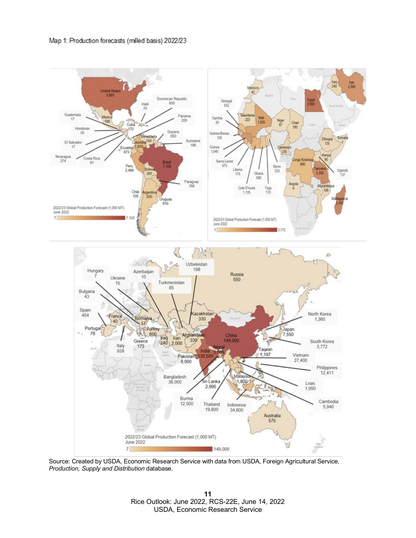

Source: Created by USDA, Economic Research Service with data from USDA, Foreign Agricultural Service, *Production, Supply and Distribution* database*.*

**11** Rice Outlook: June 2022, RCS-22E, June 14, 2022 USDA, Economic Research Service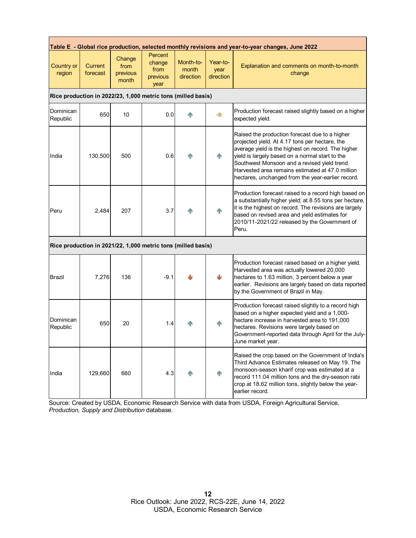| Table E - Global rice production, selected monthly revisions and year-to-year changes, June 2022 |                            |                                     |                                                              |                                 |                               |                                                                                                                                                                                                                                                                                                                                                                    |  |  |  |  |
|--------------------------------------------------------------------------------------------------|----------------------------|-------------------------------------|--------------------------------------------------------------|---------------------------------|-------------------------------|--------------------------------------------------------------------------------------------------------------------------------------------------------------------------------------------------------------------------------------------------------------------------------------------------------------------------------------------------------------------|--|--|--|--|
| <b>Country or</b><br>region                                                                      | <b>Current</b><br>forecast | Change<br>from<br>previous<br>month | Percent<br>change<br>from<br>previous<br>year                | Month-to-<br>month<br>direction | Year-to-<br>year<br>direction | Explanation and comments on month-to-month<br>change                                                                                                                                                                                                                                                                                                               |  |  |  |  |
| Rice production in 2022/23, 1,000 metric tons (milled basis)                                     |                            |                                     |                                                              |                                 |                               |                                                                                                                                                                                                                                                                                                                                                                    |  |  |  |  |
| Dominican<br>Republic                                                                            | 650                        | 10                                  | 0.0                                                          | <b>AN</b>                       | $\Rightarrow$                 | Production forecast raised slightly based on a higher<br>expected yield.                                                                                                                                                                                                                                                                                           |  |  |  |  |
| India                                                                                            | 130,500                    | 500                                 | 0.6                                                          | <b>AN</b>                       | 介                             | Raised the production forecast due to a higher<br>projected yield. At 4.17 tons per hectare, the<br>average yield is the highest on record. The higher<br>yield is largely based on a normal start to the<br>Southwest Monsoon and a revised yield trend.<br>Harvested area remains estimated at 47.0 million<br>hectares, unchanged from the year-earlier record. |  |  |  |  |
| Peru                                                                                             | 2,484                      | 207                                 | 3.7                                                          | ИÑ                              | T                             | Production forecast raised to a record high based on<br>a substantially higher yield; at 8.55 tons per hectare,<br>it is the highest on record. The revisions are largely<br>based on revised area and yield estimates for<br>2010/11-2021/22 released by the Government of<br>Peru.                                                                               |  |  |  |  |
|                                                                                                  |                            |                                     | Rice production in 2021/22, 1,000 metric tons (milled basis) |                                 |                               |                                                                                                                                                                                                                                                                                                                                                                    |  |  |  |  |
| Brazil                                                                                           | 7,276                      | 136                                 | $-9.1$                                                       | ىل                              | ₩                             | Production forecast raised based on a higher yield.<br>Harvested area was actually lowered 20,000<br>hectares to 1.63 million, 3 percent below a year<br>earlier. Revisions are largely based on data reported<br>by the Government of Brazil in May.                                                                                                              |  |  |  |  |
| Dominican<br>Republic                                                                            | 650                        | 20                                  | 1.4                                                          |                                 | 个                             | Production forecast raised slightly to a record high<br>based on a higher expected yield and a 1,000-<br>hectare increase in harvested area to 191,000<br>hectares. Revisions were largely based on<br>Government-reported data through April for the July-<br>June market year.                                                                                   |  |  |  |  |
| India                                                                                            | 129,660                    | 660                                 | 4.3                                                          |                                 | 4N                            | Raised the crop based on the Government of India's<br>Third Advance Estimates released on May 19. The<br>monsoon-season kharif crop was estimated at a<br>record 111.04 million tons and the dry-season rabi<br>crop at 18.62 million tons, slightly below the year-<br>earlier record.                                                                            |  |  |  |  |

Source: Created by USDA, Economic Research Service with data from USDA, Foreign Agricultural Service, *Production, Supply and Distribution* database*.*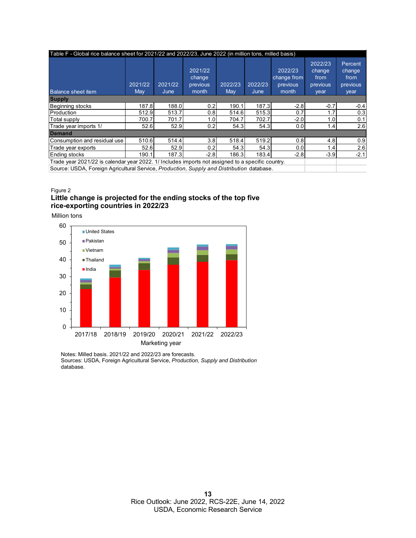| Table F - Global rice balance sheet for 2021/22 and 2022/23, June 2022 (in million tons, milled basis) |                |                 |                                        |                |                 |                                             |                                               |                                               |  |  |  |
|--------------------------------------------------------------------------------------------------------|----------------|-----------------|----------------------------------------|----------------|-----------------|---------------------------------------------|-----------------------------------------------|-----------------------------------------------|--|--|--|
| <b>Balance sheet item</b>                                                                              | 2021/22<br>May | 2021/22<br>June | 2021/22<br>change<br>previous<br>month | 2022/23<br>May | 2022/23<br>June | 2022/23<br>change from<br>previous<br>month | 2022/23<br>change<br>from<br>previous<br>year | Percent<br>change<br>from<br>previous<br>year |  |  |  |
| <b>Supply</b>                                                                                          |                |                 |                                        |                |                 |                                             |                                               |                                               |  |  |  |
| Beginning stocks                                                                                       | 187.8          | 188.0           | 0.2                                    | 190.1          | 187.3           | $-2.8$                                      | $-0.7$                                        | $-0.4$                                        |  |  |  |
| Production                                                                                             | 512.9          | 513.7           | 0.8                                    | 514.6          | 515.3           | 0.7                                         | 1.7                                           | 0.3                                           |  |  |  |
| Total supply                                                                                           | 700.7          | 701.7           | 1.0                                    | 704.7          | 702.7           | $-2.0$                                      | 1.0                                           | 0.1                                           |  |  |  |
| Trade year imports 1/                                                                                  | 52.6           | 52.9            | 0.2                                    | 54.3           | 54.3            | 0.0                                         | 1.4                                           | 2.6                                           |  |  |  |
| <b>Demand</b>                                                                                          |                |                 |                                        |                |                 |                                             |                                               |                                               |  |  |  |
| Consumption and residual use                                                                           | 510.6          | 514.4           | 3.8                                    | 518.4          | 519.2           | 0.8                                         | 4.8                                           | 0.9                                           |  |  |  |
| Trade year exports                                                                                     | 52.6           | 52.9            | 0.2                                    | 54.3           | 54.3            | 0.0                                         | 1.4                                           | 2.6                                           |  |  |  |
| Ending stocks                                                                                          | 190.1          | 187.3           | $-2.8$                                 | 186.3          | 183.4           | $-2.8$                                      | $-3.9$                                        | $-2.1$                                        |  |  |  |
| Trade year 2021/22 is calendar year 2022. 1/ Includes imports not assigned to a specific country.      |                |                 |                                        |                |                 |                                             |                                               |                                               |  |  |  |

Source: USDA, Foreign Agricultural Service, *Production, Supply and Distribution* database.

#### Figure 2 **Little change is projected for the ending stocks of the top five**

**rice-exporting countries in 2022/23**

Million tons



Notes: Milled basis. 2021/22 and 2022/23 are forecasts. Sources: USDA, Foreign Agricultural Service, *Production, Supply and Distribution*  database*.*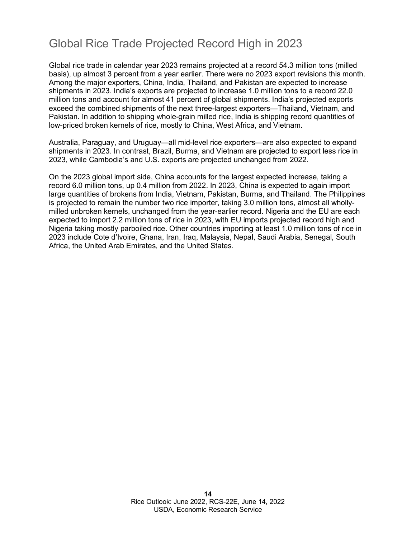#### Global Rice Trade Projected Record High in 2023

Global rice trade in calendar year 2023 remains projected at a record 54.3 million tons (milled basis), up almost 3 percent from a year earlier. There were no 2023 export revisions this month. Among the major exporters, China, India, Thailand, and Pakistan are expected to increase shipments in 2023. India's exports are projected to increase 1.0 million tons to a record 22.0 million tons and account for almost 41 percent of global shipments. India's projected exports exceed the combined shipments of the next three-largest exporters—Thailand, Vietnam, and Pakistan. In addition to shipping whole-grain milled rice, India is shipping record quantities of low-priced broken kernels of rice, mostly to China, West Africa, and Vietnam.

Australia, Paraguay, and Uruguay—all mid-level rice exporters—are also expected to expand shipments in 2023. In contrast, Brazil, Burma, and Vietnam are projected to export less rice in 2023, while Cambodia's and U.S. exports are projected unchanged from 2022.

On the 2023 global import side, China accounts for the largest expected increase, taking a record 6.0 million tons, up 0.4 million from 2022. In 2023, China is expected to again import large quantities of brokens from India, Vietnam, Pakistan, Burma, and Thailand. The Philippines is projected to remain the number two rice importer, taking 3.0 million tons, almost all whollymilled unbroken kernels, unchanged from the year-earlier record. Nigeria and the EU are each expected to import 2.2 million tons of rice in 2023, with EU imports projected record high and Nigeria taking mostly parboiled rice. Other countries importing at least 1.0 million tons of rice in 2023 include Cote d'Ivoire, Ghana, Iran, Iraq, Malaysia, Nepal, Saudi Arabia, Senegal, South Africa, the United Arab Emirates, and the United States.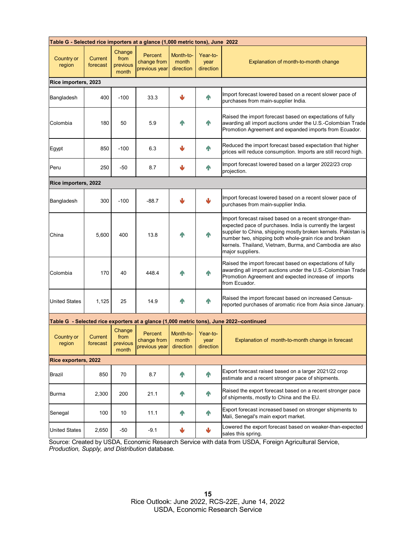| Table G - Selected rice importers at a glance (1,000 metric tons), June 2022 |                     |                                     |                                           |                                 |                               |                                                                                                                                                                                                                                                                                                                                  |  |  |  |  |
|------------------------------------------------------------------------------|---------------------|-------------------------------------|-------------------------------------------|---------------------------------|-------------------------------|----------------------------------------------------------------------------------------------------------------------------------------------------------------------------------------------------------------------------------------------------------------------------------------------------------------------------------|--|--|--|--|
| Country or<br>region                                                         | Current<br>forecast | Change<br>from<br>previous<br>month | Percent<br>change from<br>previous year   | Month-to-<br>month<br>direction | Year-to-<br>year<br>direction | Explanation of month-to-month change                                                                                                                                                                                                                                                                                             |  |  |  |  |
| Rice importers, 2023                                                         |                     |                                     |                                           |                                 |                               |                                                                                                                                                                                                                                                                                                                                  |  |  |  |  |
| Bangladesh                                                                   | 400                 | $-100$                              | 33.3                                      | J                               | n                             | Import forecast lowered based on a recent slower pace of<br>purchases from main-supplier India.                                                                                                                                                                                                                                  |  |  |  |  |
| Colombia                                                                     | 180                 | 50                                  | 5.9                                       | <b>TP</b>                       | <b>TN</b>                     | Raised the import forecast based on expectations of fully<br>awarding all import auctions under the U.S.-Colombian Trade<br>Promotion Agreement and expanded imports from Ecuador.                                                                                                                                               |  |  |  |  |
| Egypt                                                                        | 850                 | $-100$                              | 6.3                                       | J                               | n                             | Reduced the import forecast based expectation that higher<br>prices will reduce consumption. Imports are still record high.                                                                                                                                                                                                      |  |  |  |  |
| Peru                                                                         | 250                 | -50                                 | 8.7                                       |                                 | q,                            | Import forecast lowered based on a larger 2022/23 crop<br>projection.                                                                                                                                                                                                                                                            |  |  |  |  |
| Rice importers, 2022                                                         |                     |                                     |                                           |                                 |                               |                                                                                                                                                                                                                                                                                                                                  |  |  |  |  |
| Bangladesh                                                                   | 300                 | $-100$                              | $-88.7$                                   |                                 | ىل                            | Import forecast lowered based on a recent slower pace of<br>purchases from main-supplier India.                                                                                                                                                                                                                                  |  |  |  |  |
| China                                                                        | 5,600               | 400                                 | 13.8                                      | <b>TP</b>                       | <b>TN</b>                     | Import forecast raised based on a recent stronger-than-<br>expected pace of purchases. India is currently the largest<br>supplier to China, shipping mostly broken kernels. Pakistan is<br>number two, shipping both whole-grain rice and broken<br>kernels. Thailand, Vietnam, Burma, and Cambodia are also<br>major suppliers. |  |  |  |  |
| Colombia                                                                     | 170                 | 40                                  | 448.4                                     | ИÑ                              | <b>IN</b>                     | Raised the import forecast based on expectations of fully<br>awarding all import auctions under the U.S.-Colombian Trade<br>Promotion Agreement and expected increase of imports<br>from Ecuador.                                                                                                                                |  |  |  |  |
| <b>United States</b>                                                         | 1,125               | 25                                  | 14.9                                      | <b>TN</b>                       | <b>TN</b>                     | Raised the import forecast based on increased Census-<br>reported purchases of aromatic rice from Asia since January.                                                                                                                                                                                                            |  |  |  |  |
|                                                                              |                     |                                     |                                           |                                 |                               | Table G - Selected rice exporters at a glance (1,000 metric tons), June 2022--continued                                                                                                                                                                                                                                          |  |  |  |  |
| Country or<br>region                                                         | Current<br>forecast | Change<br>from<br>previous<br>month | Percent<br>change from  <br>previous year | Month-to-<br>month<br>direction | Year-to-<br>vear<br>direction | Explanation of month-to-month change in forecast                                                                                                                                                                                                                                                                                 |  |  |  |  |
| Rice exporters, 2022                                                         |                     |                                     |                                           |                                 |                               |                                                                                                                                                                                                                                                                                                                                  |  |  |  |  |
| Brazil                                                                       | 850                 | 70                                  | 8.7                                       | <b>TP</b>                       | $\mathbf{P}$                  | Export forecast raised based on a larger 2021/22 crop<br>estimate and a recent stronger pace of shipments.                                                                                                                                                                                                                       |  |  |  |  |
| <b>Burma</b>                                                                 | 2,300               | 200                                 | 21.1                                      | <b>TP</b>                       | $\mathbf{P}$                  | Raised the export forecast based on a recent stronger pace<br>of shipments, mostly to China and the EU.                                                                                                                                                                                                                          |  |  |  |  |
| Senegal                                                                      | 100                 | 10                                  | 11.1                                      | T                               | $\mathbf{P}$                  | Export forecast increased based on stronger shipments to<br>Mali, Senegal's main export market.                                                                                                                                                                                                                                  |  |  |  |  |
| <b>United States</b>                                                         | 2,650               | -50                                 | -9.1                                      | ₩                               | $\overline{\mathbf{V}}$       | Lowered the export forecast based on weaker-than-expected<br>sales this spring.                                                                                                                                                                                                                                                  |  |  |  |  |

Source: Created by USDA, Economic Research Service with data from USDA, Foreign Agricultural Service, *Production, Supply, and Distribution* database*.*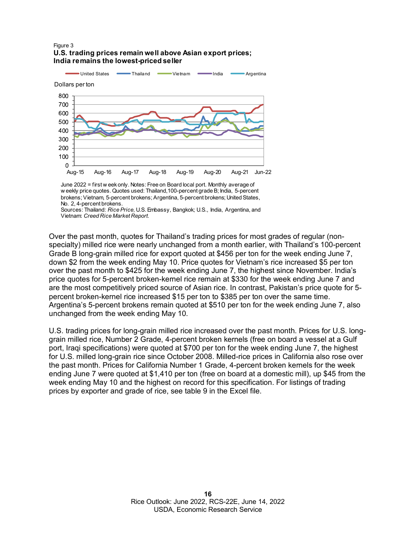#### Figure 3 **U.S. trading prices remain well above Asian export prices; India remains the lowest-priced seller**



June 2022 = first w eek only. Notes: Free on Board local port. Monthly average of w eekly price quotes. Quotes used: Thailand,100-percent grade B; India, 5-percent brokens; Vietnam, 5-percent brokens; Argentina, 5-percent brokens; United States, No. 2, 4-percent brokens.

Over the past month, quotes for Thailand's trading prices for most grades of regular (nonspecialty) milled rice were nearly unchanged from a month earlier, with Thailand's 100-percent Grade B long-grain milled rice for export quoted at \$456 per ton for the week ending June 7, down \$2 from the week ending May 10. Price quotes for Vietnam's rice increased \$5 per ton over the past month to \$425 for the week ending June 7, the highest since November. India's price quotes for 5-percent broken-kernel rice remain at \$330 for the week ending June 7 and are the most competitively priced source of Asian rice. In contrast, Pakistan's price quote for 5 percent broken-kernel rice increased \$15 per ton to \$385 per ton over the same time. Argentina's 5-percent brokens remain quoted at \$510 per ton for the week ending June 7, also unchanged from the week ending May 10.

U.S. trading prices for long-grain milled rice increased over the past month. Prices for U.S. longgrain milled rice, Number 2 Grade, 4-percent broken kernels (free on board a vessel at a Gulf port, Iraqi specifications) were quoted at \$700 per ton for the week ending June 7, the highest for U.S. milled long-grain rice since October 2008. Milled-rice prices in California also rose over the past month. Prices for California Number 1 Grade, 4-percent broken kernels for the week ending June 7 were quoted at \$1,410 per ton (free on board at a domestic mill), up \$45 from the week ending May 10 and the highest on record for this specification. For listings of trading prices by exporter and grade of rice, see table 9 in the Excel file.

Sources: Thailand: *Rice Price,* U.S. Embassy, Bangkok; U.S., India, Argentina, and Vietnam: *Creed Rice Market Report.*